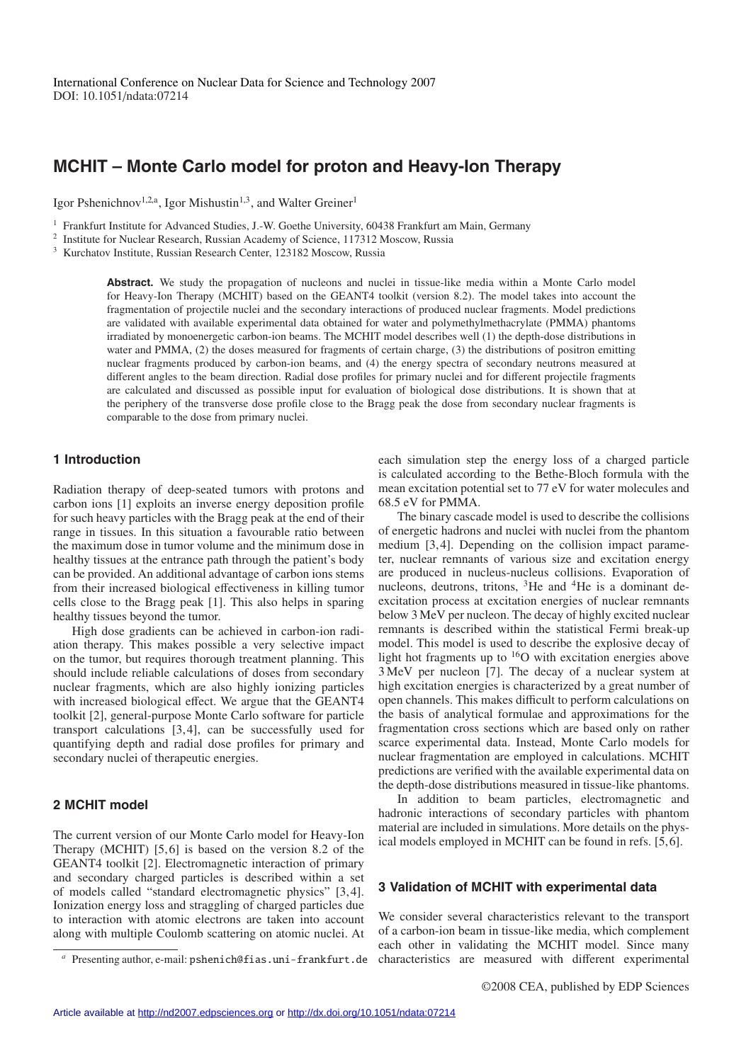# **MCHIT – Monte Carlo model for proton and Heavy-Ion Therapy**

Igor Pshenichnov<sup>1,2,a</sup>, Igor Mishustin<sup>1,3</sup>, and Walter Greiner<sup>1</sup>

<sup>1</sup> Frankfurt Institute for Advanced Studies, J.-W. Goethe University, 60438 Frankfurt am Main, Germany

<sup>2</sup> Institute for Nuclear Research, Russian Academy of Science, 117312 Moscow, Russia

<sup>3</sup> Kurchatov Institute, Russian Research Center, 123182 Moscow, Russia

Abstract. We study the propagation of nucleons and nuclei in tissue-like media within a Monte Carlo model for Heavy-Ion Therapy (MCHIT) based on the GEANT4 toolkit (version 8.2). The model takes into account the fragmentation of projectile nuclei and the secondary interactions of produced nuclear fragments. Model predictions are validated with available experimental data obtained for water and polymethylmethacrylate (PMMA) phantoms irradiated by monoenergetic carbon-ion beams. The MCHIT model describes well (1) the depth-dose distributions in water and PMMA, (2) the doses measured for fragments of certain charge, (3) the distributions of positron emitting nuclear fragments produced by carbon-ion beams, and (4) the energy spectra of secondary neutrons measured at different angles to the beam direction. Radial dose profiles for primary nuclei and for different projectile fragments are calculated and discussed as possible input for evaluation of biological dose distributions. It is shown that at the periphery of the transverse dose profile close to the Bragg peak the dose from secondary nuclear fragments is comparable to the dose from primary nuclei.

### **1 Introduction**

Radiation therapy of deep-seated tumors with protons and carbon ions [1] exploits an inverse energy deposition profile for such heavy particles with the Bragg peak at the end of their range in tissues. In this situation a favourable ratio between the maximum dose in tumor volume and the minimum dose in healthy tissues at the entrance path through the patient's body can be provided. An additional advantage of carbon ions stems from their increased biological effectiveness in killing tumor cells close to the Bragg peak [1]. This also helps in sparing healthy tissues beyond the tumor.

High dose gradients can be achieved in carbon-ion radiation therapy. This makes possible a very selective impact on the tumor, but requires thorough treatment planning. This should include reliable calculations of doses from secondary nuclear fragments, which are also highly ionizing particles with increased biological effect. We argue that the GEANT4 toolkit [2], general-purpose Monte Carlo software for particle transport calculations [3, 4], can be successfully used for quantifying depth and radial dose profiles for primary and secondary nuclei of therapeutic energies.

## **2 MCHIT model**

The current version of our Monte Carlo model for Heavy-Ion Therapy (MCHIT) [5, 6] is based on the version 8.2 of the GEANT4 toolkit [2]. Electromagnetic interaction of primary and secondary charged particles is described within a set of models called "standard electromagnetic physics" [3, 4]. Ionization energy loss and straggling of charged particles due to interaction with atomic electrons are taken into account along with multiple Coulomb scattering on atomic nuclei. At each simulation step the energy loss of a charged particle is calculated according to the Bethe-Bloch formula with the mean excitation potential set to 77 eV for water molecules and 68.5 eV for PMMA.

The binary cascade model is used to describe the collisions of energetic hadrons and nuclei with nuclei from the phantom medium [3, 4]. Depending on the collision impact parameter, nuclear remnants of various size and excitation energy are produced in nucleus-nucleus collisions. Evaporation of nucleons, deutrons, tritons,  ${}^{3}$ He and  ${}^{4}$ He is a dominant deexcitation process at excitation energies of nuclear remnants below 3 MeV per nucleon. The decay of highly excited nuclear remnants is described within the statistical Fermi break-up model. This model is used to describe the explosive decay of light hot fragments up to  $16$ O with excitation energies above 3 MeV per nucleon [7]. The decay of a nuclear system at high excitation energies is characterized by a great number of open channels. This makes difficult to perform calculations on the basis of analytical formulae and approximations for the fragmentation cross sections which are based only on rather scarce experimental data. Instead, Monte Carlo models for nuclear fragmentation are employed in calculations. MCHIT predictions are verified with the available experimental data on the depth-dose distributions measured in tissue-like phantoms.

In addition to beam particles, electromagnetic and hadronic interactions of secondary particles with phantom material are included in simulations. More details on the physical models employed in MCHIT can be found in refs. [5, 6].

#### **3 Validation of MCHIT with experimental data**

We consider several characteristics relevant to the transport of a carbon-ion beam in tissue-like media, which complement each other in validating the MCHIT model. Since many characteristics are measured with different experimental

Presenting author, e-mail: pshenich@fias.uni-frankfurt.de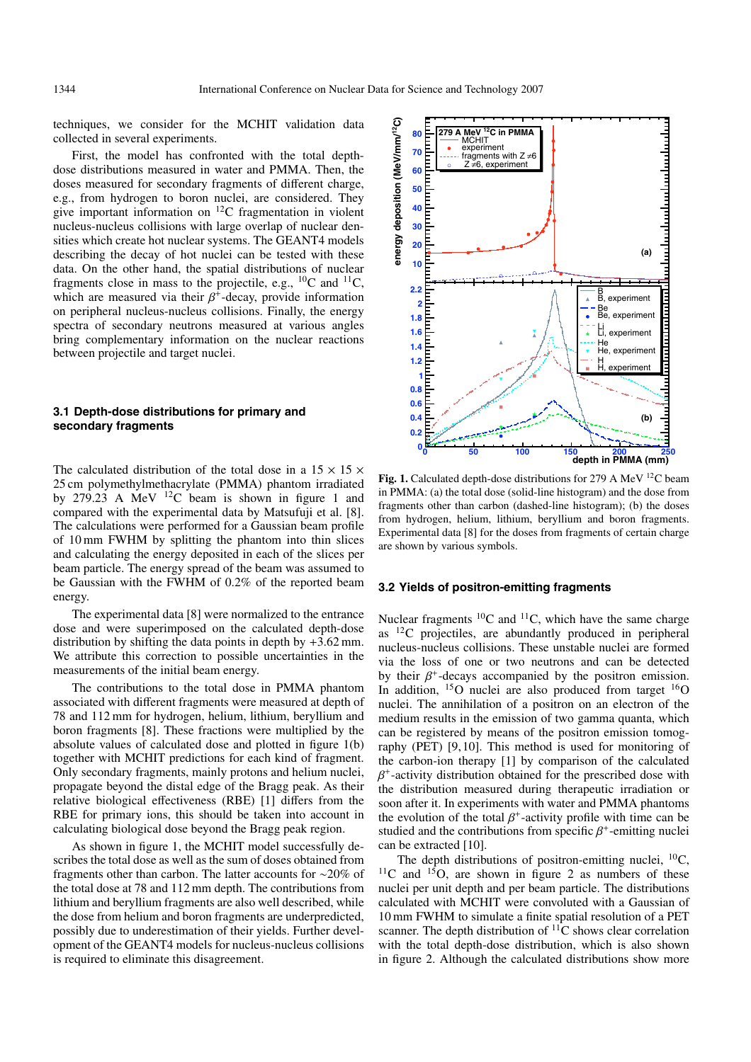techniques, we consider for the MCHIT validation data collected in several experiments.

First, the model has confronted with the total depthdose distributions measured in water and PMMA. Then, the doses measured for secondary fragments of different charge, e.g., from hydrogen to boron nuclei, are considered. They give important information on 12C fragmentation in violent nucleus-nucleus collisions with large overlap of nuclear densities which create hot nuclear systems. The GEANT4 models describing the decay of hot nuclei can be tested with these data. On the other hand, the spatial distributions of nuclear fragments close in mass to the projectile, e.g.,  ${}^{10}C$  and  ${}^{11}C$ , which are measured via their  $\beta^+$ -decay, provide information on peripheral nucleus-nucleus collisions. Finally, the energy spectra of secondary neutrons measured at various angles bring complementary information on the nuclear reactions between projectile and target nuclei.

#### **3.1 Depth-dose distributions for primary and secondary fragments**

The calculated distribution of the total dose in a  $15 \times 15 \times$ 25 cm polymethylmethacrylate (PMMA) phantom irradiated by  $279.23$  A MeV  $12C$  beam is shown in figure 1 and compared with the experimental data by Matsufuji et al. [8]. The calculations were performed for a Gaussian beam profile of 10 mm FWHM by splitting the phantom into thin slices and calculating the energy deposited in each of the slices per beam particle. The energy spread of the beam was assumed to be Gaussian with the FWHM of 0.2% of the reported beam energy.

The experimental data [8] were normalized to the entrance dose and were superimposed on the calculated depth-dose distribution by shifting the data points in depth by  $+3.62$  mm. We attribute this correction to possible uncertainties in the measurements of the initial beam energy.

The contributions to the total dose in PMMA phantom associated with different fragments were measured at depth of 78 and 112 mm for hydrogen, helium, lithium, beryllium and boron fragments [8]. These fractions were multiplied by the absolute values of calculated dose and plotted in figure 1(b) together with MCHIT predictions for each kind of fragment. Only secondary fragments, mainly protons and helium nuclei, propagate beyond the distal edge of the Bragg peak. As their relative biological effectiveness (RBE) [1] differs from the RBE for primary ions, this should be taken into account in calculating biological dose beyond the Bragg peak region.

As shown in figure 1, the MCHIT model successfully describes the total dose as well as the sum of doses obtained from fragments other than carbon. The latter accounts for ∼20% of the total dose at 78 and 112 mm depth. The contributions from lithium and beryllium fragments are also well described, while the dose from helium and boron fragments are underpredicted, possibly due to underestimation of their yields. Further development of the GEANT4 models for nucleus-nucleus collisions is required to eliminate this disagreement.



Fig. 1. Calculated depth-dose distributions for 279 A MeV <sup>12</sup>C beam in PMMA: (a) the total dose (solid-line histogram) and the dose from fragments other than carbon (dashed-line histogram); (b) the doses from hydrogen, helium, lithium, beryllium and boron fragments. Experimental data [8] for the doses from fragments of certain charge are shown by various symbols.

## **3.2 Yields of positron-emitting fragments**

Nuclear fragments  ${}^{10}C$  and  ${}^{11}C$ , which have the same charge as  $^{12}$ C projectiles, are abundantly produced in peripheral nucleus-nucleus collisions. These unstable nuclei are formed via the loss of one or two neutrons and can be detected by their  $\beta^+$ -decays accompanied by the positron emission. In addition,  $^{15}O$  nuclei are also produced from target  $^{16}O$ nuclei. The annihilation of a positron on an electron of the medium results in the emission of two gamma quanta, which can be registered by means of the positron emission tomography (PET) [9, 10]. This method is used for monitoring of the carbon-ion therapy [1] by comparison of the calculated  $\beta^+$ -activity distribution obtained for the prescribed dose with the distribution measured during therapeutic irradiation or soon after it. In experiments with water and PMMA phantoms the evolution of the total  $\beta^*$ -activity profile with time can be studied and the contributions from specific  $\beta^+$ -emitting nuclei can be extracted [10].

The depth distributions of positron-emitting nuclei,  $^{10}C$ ,  $11^1$ C and  $15^1$ O, are shown in figure 2 as numbers of these nuclei per unit depth and per beam particle. The distributions calculated with MCHIT were convoluted with a Gaussian of 10 mm FWHM to simulate a finite spatial resolution of a PET scanner. The depth distribution of  ${}^{11}C$  shows clear correlation with the total depth-dose distribution, which is also shown in figure 2. Although the calculated distributions show more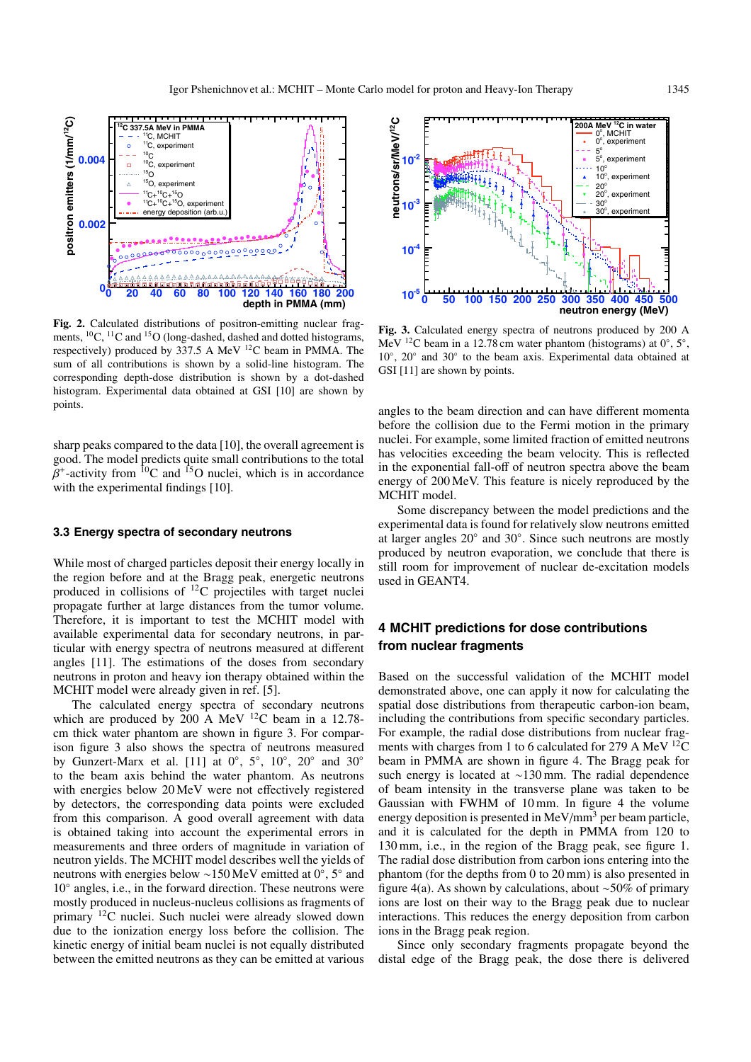

**Fig. 2.** Calculated distributions of positron-emitting nuclear fragments, <sup>10</sup>C, <sup>11</sup>C and <sup>15</sup>O (long-dashed, dashed and dotted histograms, respectively) produced by 337.5 A MeV 12C beam in PMMA. The sum of all contributions is shown by a solid-line histogram. The corresponding depth-dose distribution is shown by a dot-dashed histogram. Experimental data obtained at GSI [10] are shown by points.

sharp peaks compared to the data [10], the overall agreement is good. The model predicts quite small contributions to the total  $\beta^+$ -activity from <sup>10</sup>C and <sup>15</sup>O nuclei, which is in accordance with the experimental findings [10].

#### **3.3 Energy spectra of secondary neutrons**

While most of charged particles deposit their energy locally in the region before and at the Bragg peak, energetic neutrons produced in collisions of  $^{12}$ C projectiles with target nuclei propagate further at large distances from the tumor volume. Therefore, it is important to test the MCHIT model with available experimental data for secondary neutrons, in particular with energy spectra of neutrons measured at different angles [11]. The estimations of the doses from secondary neutrons in proton and heavy ion therapy obtained within the MCHIT model were already given in ref. [5].

The calculated energy spectra of secondary neutrons which are produced by  $200 \text{ A}$  MeV <sup>12</sup>C beam in a 12.78cm thick water phantom are shown in figure 3. For comparison figure 3 also shows the spectra of neutrons measured by Gunzert-Marx et al. [11] at  $0^\circ$ ,  $5^\circ$ ,  $10^\circ$ ,  $20^\circ$  and  $30^\circ$ to the beam axis behind the water phantom. As neutrons with energies below 20 MeV were not effectively registered by detectors, the corresponding data points were excluded from this comparison. A good overall agreement with data is obtained taking into account the experimental errors in measurements and three orders of magnitude in variation of neutron yields. The MCHIT model describes well the yields of neutrons with energies below ∼150 MeV emitted at 0◦, 5◦ and 10◦ angles, i.e., in the forward direction. These neutrons were mostly produced in nucleus-nucleus collisions as fragments of primary 12C nuclei. Such nuclei were already slowed down due to the ionization energy loss before the collision. The kinetic energy of initial beam nuclei is not equally distributed between the emitted neutrons as they can be emitted at various



**Fig. 3.** Calculated energy spectra of neutrons produced by 200 A MeV <sup>12</sup>C beam in a 12.78 cm water phantom (histograms) at  $0^\circ$ ,  $5^\circ$ , 10◦, 20◦ and 30◦ to the beam axis. Experimental data obtained at GSI [11] are shown by points.

angles to the beam direction and can have different momenta before the collision due to the Fermi motion in the primary nuclei. For example, some limited fraction of emitted neutrons has velocities exceeding the beam velocity. This is reflected in the exponential fall-off of neutron spectra above the beam energy of 200 MeV. This feature is nicely reproduced by the MCHIT model.

Some discrepancy between the model predictions and the experimental data is found for relatively slow neutrons emitted at larger angles 20◦ and 30◦. Since such neutrons are mostly produced by neutron evaporation, we conclude that there is still room for improvement of nuclear de-excitation models used in GEANT4.

## **4 MCHIT predictions for dose contributions from nuclear fragments**

Based on the successful validation of the MCHIT model demonstrated above, one can apply it now for calculating the spatial dose distributions from therapeutic carbon-ion beam, including the contributions from specific secondary particles. For example, the radial dose distributions from nuclear fragments with charges from 1 to 6 calculated for 279 A MeV <sup>12</sup>C beam in PMMA are shown in figure 4. The Bragg peak for such energy is located at ∼130 mm. The radial dependence of beam intensity in the transverse plane was taken to be Gaussian with FWHM of 10 mm. In figure 4 the volume energy deposition is presented in  $MeV/mm^3$  per beam particle, and it is calculated for the depth in PMMA from 120 to 130 mm, i.e., in the region of the Bragg peak, see figure 1. The radial dose distribution from carbon ions entering into the phantom (for the depths from 0 to 20 mm) is also presented in figure 4(a). As shown by calculations, about ∼50% of primary ions are lost on their way to the Bragg peak due to nuclear interactions. This reduces the energy deposition from carbon ions in the Bragg peak region.

Since only secondary fragments propagate beyond the distal edge of the Bragg peak, the dose there is delivered